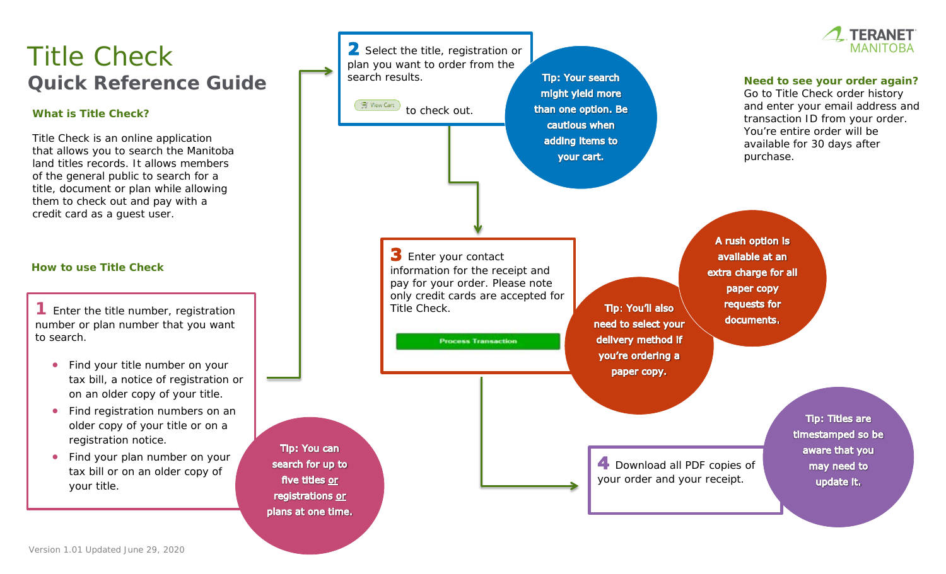# Title Check **Quick Reference Guide**

#### **What is Title Check?**

Title Check is an online application that allows you to search the Manitoba land titles records. It allows members of the general public to search for a title, document or plan while allowing them to check out and pay with a credit card as a guest user.

#### **How to use Title Check**

**1** Enter the title number, registration number or plan number that you want to search.

- Find your title number on your tax bill, a notice of registration or on an older copy of your title.
- Find registration numbers on an older copy of your title or on a registration notice.
- Find your plan number on your tax bill or on an older copy of your title.